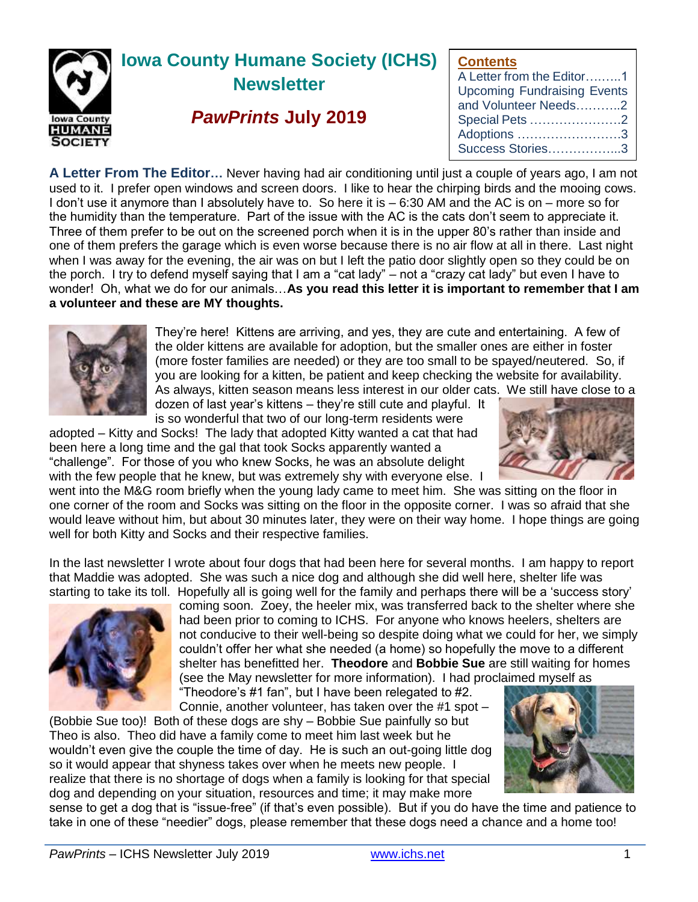

**Contents**

| A Letter from the Editor1          |
|------------------------------------|
| <b>Upcoming Fundraising Events</b> |
| and Volunteer Needs2               |
| Special Pets 2                     |
| Adoptions 3                        |
| Success Stories3                   |

**A Letter From The Editor…** Never having had air conditioning until just a couple of years ago, I am not used to it. I prefer open windows and screen doors. I like to hear the chirping birds and the mooing cows. I don't use it anymore than I absolutely have to. So here it is – 6:30 AM and the AC is on – more so for the humidity than the temperature. Part of the issue with the AC is the cats don't seem to appreciate it. Three of them prefer to be out on the screened porch when it is in the upper 80's rather than inside and one of them prefers the garage which is even worse because there is no air flow at all in there. Last night when I was away for the evening, the air was on but I left the patio door slightly open so they could be on the porch. I try to defend myself saying that I am a "cat lady" – not a "crazy cat lady" but even I have to wonder! Oh, what we do for our animals…**As you read this letter it is important to remember that I am a volunteer and these are MY thoughts.**



They're here! Kittens are arriving, and yes, they are cute and entertaining. A few of the older kittens are available for adoption, but the smaller ones are either in foster (more foster families are needed) or they are too small to be spayed/neutered. So, if you are looking for a kitten, be patient and keep checking the website for availability. As always, kitten season means less interest in our older cats. We still have close to a

dozen of last year's kittens – they're still cute and playful. It is so wonderful that two of our long-term residents were

adopted – Kitty and Socks! The lady that adopted Kitty wanted a cat that had been here a long time and the gal that took Socks apparently wanted a "challenge". For those of you who knew Socks, he was an absolute delight with the few people that he knew, but was extremely shy with everyone else. I



went into the M&G room briefly when the young lady came to meet him. She was sitting on the floor in one corner of the room and Socks was sitting on the floor in the opposite corner. I was so afraid that she would leave without him, but about 30 minutes later, they were on their way home. I hope things are going well for both Kitty and Socks and their respective families.

In the last newsletter I wrote about four dogs that had been here for several months. I am happy to report that Maddie was adopted. She was such a nice dog and although she did well here, shelter life was starting to take its toll. Hopefully all is going well for the family and perhaps there will be a 'success story'



coming soon. Zoey, the heeler mix, was transferred back to the shelter where she had been prior to coming to ICHS. For anyone who knows heelers, shelters are not conducive to their well-being so despite doing what we could for her, we simply couldn't offer her what she needed (a home) so hopefully the move to a different shelter has benefitted her. **Theodore** and **Bobbie Sue** are still waiting for homes (see the May newsletter for more information). I had proclaimed myself as

"Theodore's #1 fan", but I have been relegated to #2. Connie, another volunteer, has taken over the #1 spot –

(Bobbie Sue too)! Both of these dogs are shy – Bobbie Sue painfully so but Theo is also. Theo did have a family come to meet him last week but he wouldn't even give the couple the time of day. He is such an out-going little dog so it would appear that shyness takes over when he meets new people. I realize that there is no shortage of dogs when a family is looking for that special dog and depending on your situation, resources and time; it may make more



sense to get a dog that is "issue-free" (if that's even possible). But if you do have the time and patience to take in one of these "needier" dogs, please remember that these dogs need a chance and a home too!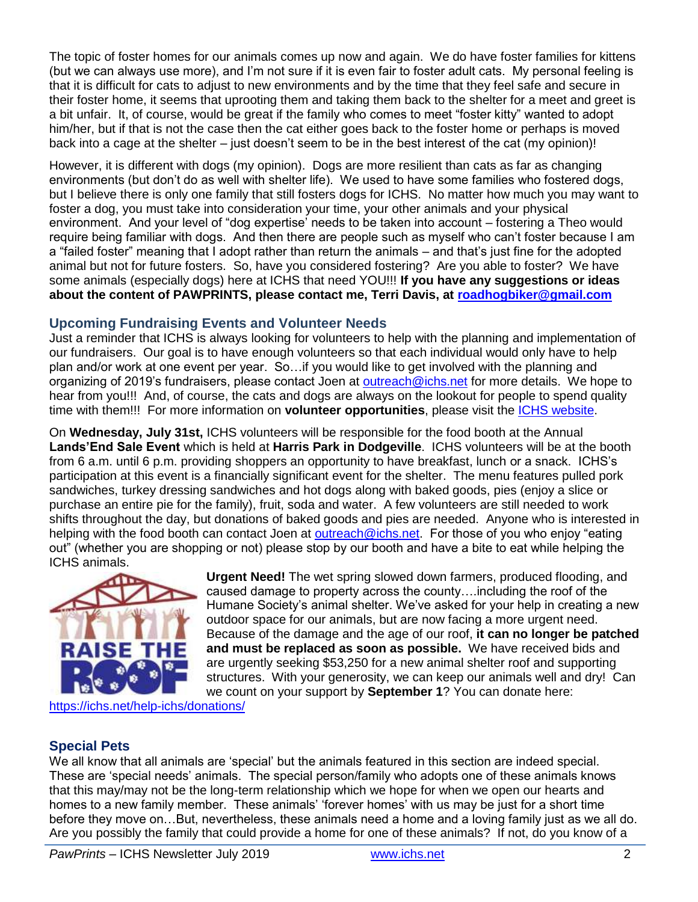The topic of foster homes for our animals comes up now and again. We do have foster families for kittens (but we can always use more), and I'm not sure if it is even fair to foster adult cats. My personal feeling is that it is difficult for cats to adjust to new environments and by the time that they feel safe and secure in their foster home, it seems that uprooting them and taking them back to the shelter for a meet and greet is a bit unfair. It, of course, would be great if the family who comes to meet "foster kitty" wanted to adopt him/her, but if that is not the case then the cat either goes back to the foster home or perhaps is moved back into a cage at the shelter – just doesn't seem to be in the best interest of the cat (my opinion)!

However, it is different with dogs (my opinion). Dogs are more resilient than cats as far as changing environments (but don't do as well with shelter life). We used to have some families who fostered dogs, but I believe there is only one family that still fosters dogs for ICHS. No matter how much you may want to foster a dog, you must take into consideration your time, your other animals and your physical environment. And your level of "dog expertise' needs to be taken into account – fostering a Theo would require being familiar with dogs. And then there are people such as myself who can't foster because I am a "failed foster" meaning that I adopt rather than return the animals – and that's just fine for the adopted animal but not for future fosters. So, have you considered fostering? Are you able to foster? We have some animals (especially dogs) here at ICHS that need YOU!!! **If you have any suggestions or ideas about the content of PAWPRINTS, please contact me, Terri Davis, at [roadhogbiker@gmail.com](mailto:roadhogbiker@gmail.com)**

## **Upcoming Fundraising Events and Volunteer Needs**

Just a reminder that ICHS is always looking for volunteers to help with the planning and implementation of our fundraisers. Our goal is to have enough volunteers so that each individual would only have to help plan and/or work at one event per year. So…if you would like to get involved with the planning and organizing of 2019's fundraisers, please contact Joen at [outreach@ichs.net](mailto:outreach@ichs.net) for more details. We hope to hear from you!!! And, of course, the cats and dogs are always on the lookout for people to spend quality time with them!!! For more information on **volunteer opportunities**, please visit the [ICHS website.](http://www.ichs.net/volunteer-help/volunteer/)

On **Wednesday, July 31st,** ICHS volunteers will be responsible for the food booth at the Annual **Lands'End Sale Event** which is held at **Harris Park in Dodgeville**. ICHS volunteers will be at the booth from 6 a.m. until 6 p.m. providing shoppers an opportunity to have breakfast, lunch or a snack. ICHS's participation at this event is a financially significant event for the shelter. The menu features pulled pork sandwiches, turkey dressing sandwiches and hot dogs along with baked goods, pies (enjoy a slice or purchase an entire pie for the family), fruit, soda and water. A few volunteers are still needed to work shifts throughout the day, but donations of baked goods and pies are needed. Anyone who is interested in helping with the food booth can contact Joen at [outreach@ichs.net.](mailto:outreach@ichs.net) For those of you who enjoy "eating" out" (whether you are shopping or not) please stop by our booth and have a bite to eat while helping the ICHS animals.



**Urgent Need!** The wet spring slowed down farmers, produced flooding, and caused damage to property across the county….including the roof of the Humane Society's animal shelter. We've asked for your help in creating a new outdoor space for our animals, but are now facing a more urgent need. Because of the damage and the age of our roof, **it can no longer be patched and must be replaced as soon as possible.** We have received bids and are urgently seeking \$53,250 for a new animal shelter roof and supporting structures. With your generosity, we can keep our animals well and dry! Can we count on your support by **September 1**? You can donate here:

<https://ichs.net/help-ichs/donations/>

# **Special Pets**

We all know that all animals are 'special' but the animals featured in this section are indeed special. These are 'special needs' animals. The special person/family who adopts one of these animals knows that this may/may not be the long-term relationship which we hope for when we open our hearts and homes to a new family member. These animals' 'forever homes' with us may be just for a short time before they move on…But, nevertheless, these animals need a home and a loving family just as we all do. Are you possibly the family that could provide a home for one of these animals? If not, do you know of a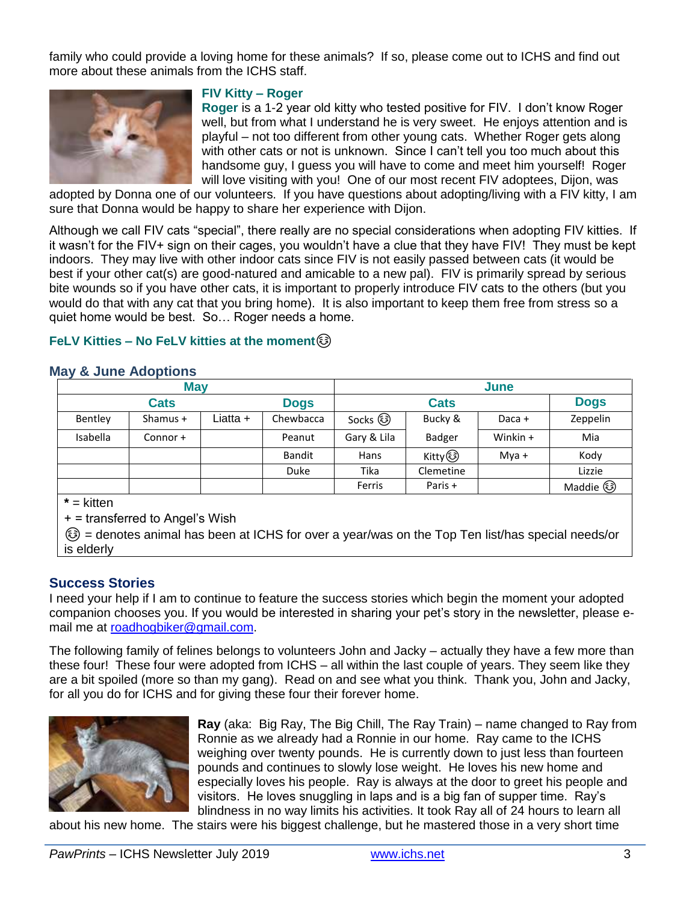family who could provide a loving home for these animals? If so, please come out to ICHS and find out more about these animals from the ICHS staff.



#### **FIV Kitty – Roger**

**Roger** is a 1-2 year old kitty who tested positive for FIV. I don't know Roger well, but from what I understand he is very sweet. He enjoys attention and is playful – not too different from other young cats. Whether Roger gets along with other cats or not is unknown. Since I can't tell you too much about this handsome guy, I guess you will have to come and meet him yourself! Roger will love visiting with you! One of our most recent FIV adoptees, Dijon, was

adopted by Donna one of our volunteers. If you have questions about adopting/living with a FIV kitty, I am sure that Donna would be happy to share her experience with Dijon.

Although we call FIV cats "special", there really are no special considerations when adopting FIV kitties. If it wasn't for the FIV+ sign on their cages, you wouldn't have a clue that they have FIV! They must be kept indoors. They may live with other indoor cats since FIV is not easily passed between cats (it would be best if your other cat(s) are good-natured and amicable to a new pal). FIV is primarily spread by serious bite wounds so if you have other cats, it is important to properly introduce FIV cats to the others (but you would do that with any cat that you bring home). It is also important to keep them free from stress so a quiet home would be best. So… Roger needs a home.

#### **FeLV Kitties – No FeLV kitties at the moment**☺

### **May & June Adoptions**

| <b>May</b>  |            |          |               | June        |               |          |             |
|-------------|------------|----------|---------------|-------------|---------------|----------|-------------|
| <b>Cats</b> |            |          | <b>Dogs</b>   | <b>Cats</b> |               |          | <b>Dogs</b> |
| Bentley     | Shamus $+$ | Liatta + | Chewbacca     | Socks හි    | Bucky &       | Daca +   | Zeppelin    |
| Isabella    | Connor +   |          | Peanut        | Gary & Lila | <b>Badger</b> | Winkin + | Mia         |
|             |            |          | <b>Bandit</b> | Hans        | Kitty ③       | $Mva +$  | Kody        |
|             |            |          | Duke          | Tika        | Clemetine     |          | Lizzie      |
|             |            |          |               | Ferris      | Paris +       |          | Maddie (    |

**\*** = kitten

+ = transferred to Angel's Wish

☺ = denotes animal has been at ICHS for over a year/was on the Top Ten list/has special needs/or is elderly

### **Success Stories**

I need your help if I am to continue to feature the success stories which begin the moment your adopted companion chooses you. If you would be interested in sharing your pet's story in the newsletter, please email me at [roadhogbiker@gmail.com.](mailto:roadhogbiker@gmail.com)

The following family of felines belongs to volunteers John and Jacky – actually they have a few more than these four! These four were adopted from ICHS – all within the last couple of years. They seem like they are a bit spoiled (more so than my gang). Read on and see what you think. Thank you, John and Jacky, for all you do for ICHS and for giving these four their forever home.



**Ray** (aka: Big Ray, The Big Chill, The Ray Train) – name changed to Ray from Ronnie as we already had a Ronnie in our home. Ray came to the ICHS weighing over twenty pounds. He is currently down to just less than fourteen pounds and continues to slowly lose weight. He loves his new home and especially loves his people. Ray is always at the door to greet his people and visitors. He loves snuggling in laps and is a big fan of supper time. Ray's blindness in no way limits his activities. It took Ray all of 24 hours to learn all

about his new home. The stairs were his biggest challenge, but he mastered those in a very short time